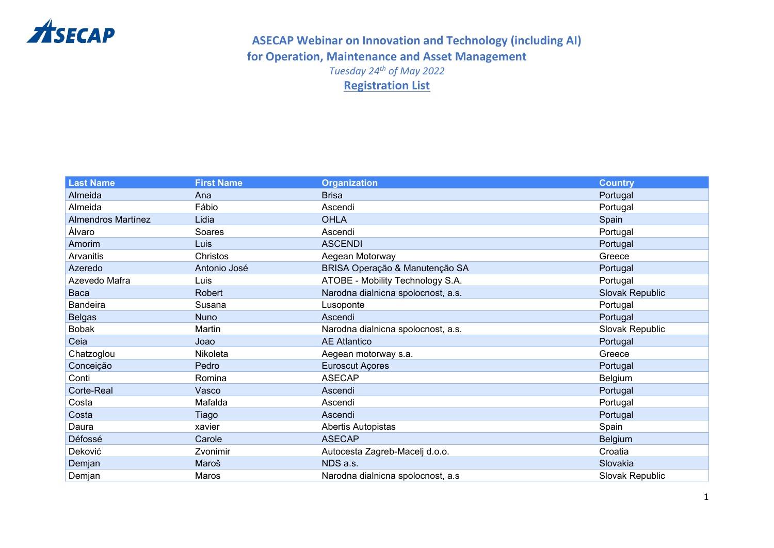

#### **ASECAP Webinar on Innovation and Technology (including AI) for Operation, Maintenance and Asset Management**  *Tuesday 24 th of May 2022* **Registration List**

| <b>Last Name</b>          | <b>First Name</b> | <b>Organization</b>                | <b>Country</b>  |
|---------------------------|-------------------|------------------------------------|-----------------|
| Almeida                   | Ana               | <b>Brisa</b>                       | Portugal        |
| Almeida                   | Fábio             | Ascendi                            | Portugal        |
| <b>Almendros Martínez</b> | Lidia             | <b>OHLA</b>                        | Spain           |
| Álvaro                    | Soares            | Ascendi                            | Portugal        |
| Amorim                    | Luis              | <b>ASCENDI</b>                     | Portugal        |
| Arvanitis                 | Christos          | Aegean Motorway                    | Greece          |
| Azeredo                   | Antonio José      | BRISA Operação & Manutenção SA     | Portugal        |
| Azevedo Mafra             | <b>Luis</b>       | ATOBE - Mobility Technology S.A.   | Portugal        |
| Baca                      | Robert            | Narodna dialnicna spolocnost, a.s. | Slovak Republic |
| Bandeira                  | Susana            | Lusoponte                          | Portugal        |
| <b>Belgas</b>             | <b>Nuno</b>       | Ascendi                            | Portugal        |
| <b>Bobak</b>              | Martin            | Narodna dialnicna spolocnost, a.s. | Slovak Republic |
| Ceia                      | Joao              | <b>AE Atlantico</b>                | Portugal        |
| Chatzoglou                | Nikoleta          | Aegean motorway s.a.               | Greece          |
| Conceição                 | Pedro             | <b>Euroscut Açores</b>             | Portugal        |
| Conti                     | Romina            | <b>ASECAP</b>                      | Belgium         |
| Corte-Real                | Vasco             | Ascendi                            | Portugal        |
| Costa                     | Mafalda           | Ascendi                            | Portugal        |
| Costa                     | Tiago             | Ascendi                            | Portugal        |
| Daura                     | xavier            | Abertis Autopistas                 | Spain           |
| Défossé                   | Carole            | <b>ASECAP</b>                      | Belgium         |
| Deković                   | Zvonimir          | Autocesta Zagreb-Macelj d.o.o.     | Croatia         |
| Demjan                    | Maroš             | NDS a.s.                           | Slovakia        |
| Demjan                    | Maros             | Narodna dialnicna spolocnost, a.s. | Slovak Republic |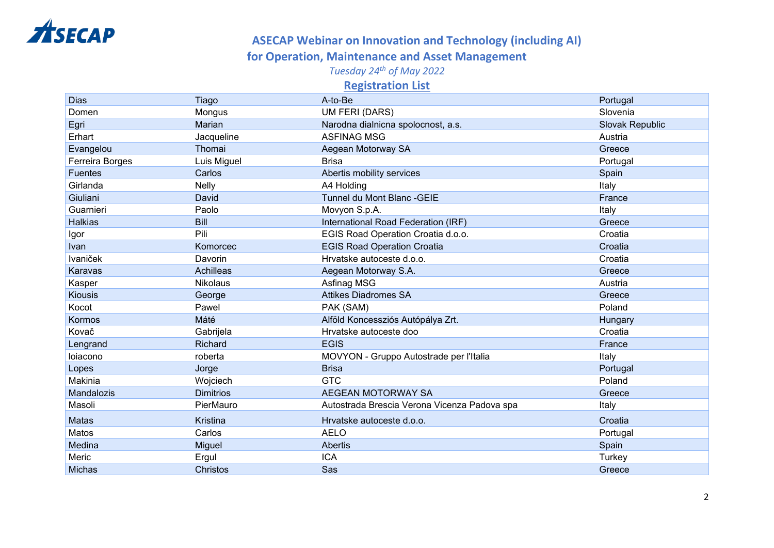

## **ASECAP Webinar on Innovation and Technology (including AI)**

#### **for Operation, Maintenance and Asset Management**

*Tuesday 24 th of May 2022*

**Registration List** 

| <b>Dias</b>     | Tiago            | A-to-Be                                      | Portugal        |
|-----------------|------------------|----------------------------------------------|-----------------|
| Domen           | Mongus           | <b>UM FERI (DARS)</b>                        | Slovenia        |
| Egri            | Marian           | Narodna dialnicna spolocnost, a.s.           | Slovak Republic |
| Erhart          | Jacqueline       | <b>ASFINAG MSG</b>                           | Austria         |
| Evangelou       | Thomai           | Aegean Motorway SA                           | Greece          |
| Ferreira Borges | Luis Miguel      | <b>Brisa</b>                                 | Portugal        |
| <b>Fuentes</b>  | Carlos           | Abertis mobility services                    | Spain           |
| Girlanda        | Nelly            | A4 Holding                                   | Italy           |
| Giuliani        | David            | Tunnel du Mont Blanc - GEIE                  | France          |
| Guarnieri       | Paolo            | Movyon S.p.A.                                | Italy           |
| <b>Halkias</b>  | <b>Bill</b>      | International Road Federation (IRF)          | Greece          |
| Igor            | Pili             | EGIS Road Operation Croatia d.o.o.           | Croatia         |
| Ivan            | Komorcec         | <b>EGIS Road Operation Croatia</b>           | Croatia         |
| <b>Ivaniček</b> | Davorin          | Hrvatske autoceste d.o.o.                    | Croatia         |
| Karavas         | Achilleas        | Aegean Motorway S.A.                         | Greece          |
| Kasper          | Nikolaus         | Asfinag MSG                                  | Austria         |
| <b>Kiousis</b>  | George           | <b>Attikes Diadromes SA</b>                  | Greece          |
| Kocot           | Pawel            | PAK (SAM)                                    | Poland          |
| Kormos          | Máté             | Alföld Koncessziós Autópálya Zrt.            | Hungary         |
| Kovač           | Gabrijela        | Hrvatske autoceste doo                       | Croatia         |
| Lengrand        | Richard          | <b>EGIS</b>                                  | France          |
| loiacono        | roberta          | MOVYON - Gruppo Autostrade per l'Italia      | Italy           |
| Lopes           | Jorge            | <b>Brisa</b>                                 | Portugal        |
| Makinia         | Wojciech         | <b>GTC</b>                                   | Poland          |
| Mandalozis      | <b>Dimitrios</b> | AEGEAN MOTORWAY SA                           | Greece          |
| Masoli          | PierMauro        | Autostrada Brescia Verona Vicenza Padova spa | Italy           |
| Matas           | Kristina         | Hrvatske autoceste d.o.o.                    | Croatia         |
| Matos           | Carlos           | <b>AELO</b>                                  | Portugal        |
| Medina          | Miguel           | Abertis                                      | Spain           |
| Meric           | Ergul            | <b>ICA</b>                                   | Turkey          |
| <b>Michas</b>   | Christos         | Sas                                          | Greece          |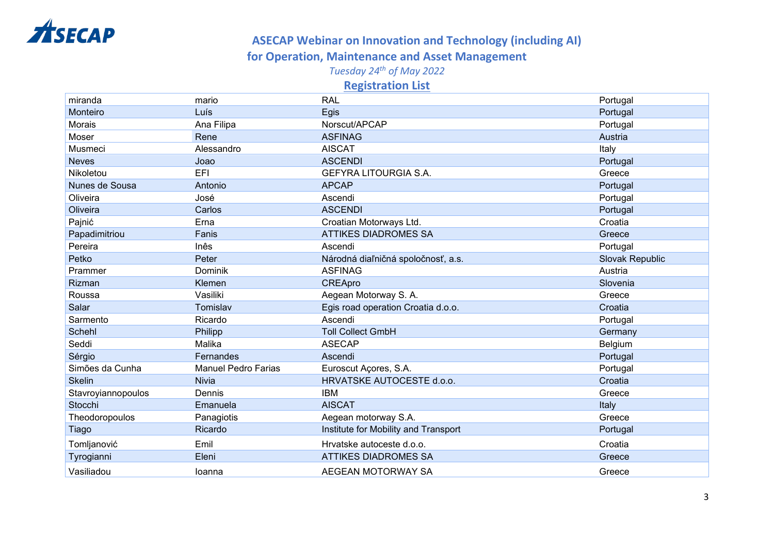

## **ASECAP Webinar on Innovation and Technology (including AI)**

#### **for Operation, Maintenance and Asset Management**

*Tuesday 24 th of May 2022*

**Registration List** 

| miranda            | mario                      | <b>RAL</b>                           | Portugal        |
|--------------------|----------------------------|--------------------------------------|-----------------|
| Monteiro           | Luís                       | Egis                                 | Portugal        |
| Morais             | Ana Filipa                 | Norscut/APCAP                        | Portugal        |
| Moser              | Rene                       | <b>ASFINAG</b>                       | Austria         |
| Musmeci            | Alessandro                 | <b>AISCAT</b>                        | Italy           |
| <b>Neves</b>       | Joao                       | <b>ASCENDI</b>                       | Portugal        |
| Nikoletou          | EFI                        | <b>GEFYRA LITOURGIA S.A.</b>         | Greece          |
| Nunes de Sousa     | Antonio                    | <b>APCAP</b>                         | Portugal        |
| Oliveira           | José                       | Ascendi                              | Portugal        |
| Oliveira           | Carlos                     | <b>ASCENDI</b>                       | Portugal        |
| Pajnić             | Erna                       | Croatian Motorways Ltd.              | Croatia         |
| Papadimitriou      | Fanis                      | <b>ATTIKES DIADROMES SA</b>          | Greece          |
| Pereira            | Inês                       | Ascendi                              | Portugal        |
| Petko              | Peter                      | Národná diaľničná spoločnosť, a.s.   | Slovak Republic |
| Prammer            | Dominik                    | <b>ASFINAG</b>                       | Austria         |
| Rizman             | Klemen                     | <b>CREApro</b>                       | Slovenia        |
| Roussa             | Vasiliki                   | Aegean Motorway S. A.                | Greece          |
| Salar              | Tomislav                   | Egis road operation Croatia d.o.o.   | Croatia         |
| Sarmento           | Ricardo                    | Ascendi                              | Portugal        |
| Schehl             | Philipp                    | <b>Toll Collect GmbH</b>             | Germany         |
| Seddi              | Malika                     | <b>ASECAP</b>                        | Belgium         |
| Sérgio             | Fernandes                  | Ascendi                              | Portugal        |
| Simões da Cunha    | <b>Manuel Pedro Farias</b> | Euroscut Açores, S.A.                | Portugal        |
| <b>Skelin</b>      | <b>Nivia</b>               | HRVATSKE AUTOCESTE d.o.o.            | Croatia         |
| Stavroyiannopoulos | Dennis                     | <b>IBM</b>                           | Greece          |
| Stocchi            | Emanuela                   | <b>AISCAT</b>                        | Italy           |
| Theodoropoulos     | Panagiotis                 | Aegean motorway S.A.                 | Greece          |
| Tiago              | Ricardo                    | Institute for Mobility and Transport | Portugal        |
| Tomljanović        | Emil                       | Hrvatske autoceste d.o.o.            | Croatia         |
| Tyrogianni         | Eleni                      | <b>ATTIKES DIADROMES SA</b>          | Greece          |
| Vasiliadou         | loanna                     | AEGEAN MOTORWAY SA                   | Greece          |